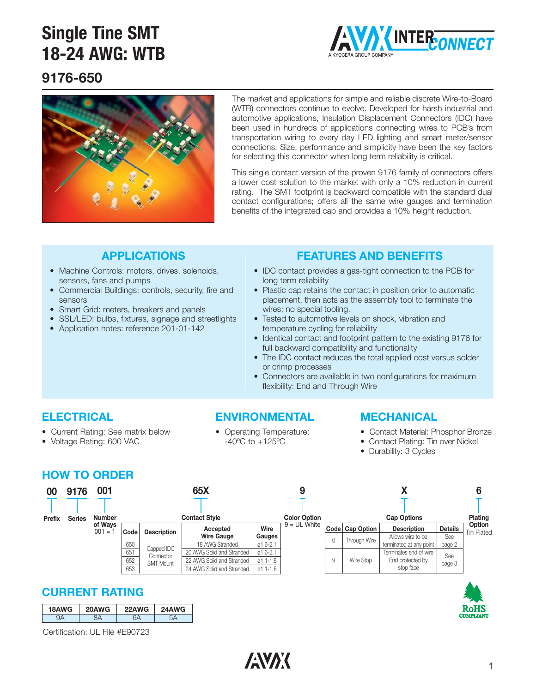

### **9176-650**



The market and applications for simple and reliable discrete Wire-to-Board (WTB) connectors continue to evolve. Developed for harsh industrial and automotive applications, Insulation Displacement Connectors (IDC) have been used in hundreds of applications connecting wires to PCB's from transportation wiring to every day LED lighting and smart meter/sensor connections. Size, performance and simplicity have been the key factors for selecting this connector when long term reliability is critical.

This single contact version of the proven 9176 family of connectors offers a lower cost solution to the market with only a 10% reduction in current rating. The SMT footprint is backward compatible with the standard dual contact configurations; offers all the same wire gauges and termination benefits of the integrated cap and provides a 10% height reduction.

### **APPLICATIONS**

- Machine Controls: motors, drives, solenoids, sensors, fans and pumps
- Commercial Buildings: controls, security, fire and sensors
- Smart Grid: meters, breakers and panels
- SSL/LED: bulbs, fixtures, signage and streetlights
- Application notes: reference 201-01-142

### **FEATURES AND BENEFITS**

- IDC contact provides a gas-tight connection to the PCB for long term reliability
- Plastic cap retains the contact in position prior to automatic placement, then acts as the assembly tool to terminate the wires; no special tooling.
- Tested to automotive levels on shock, vibration and temperature cycling for reliability
- Identical contact and footprint pattern to the existing 9176 for full backward compatibility and functionality
- The IDC contact reduces the total applied cost versus solder or crimp processes
- Connectors are available in two configurations for maximum flexibility: End and Through Wire

### **ELECTRICAL**

- Current Rating: See matrix below
- Voltage Rating: 600 VAC

### **ENVIRONMENTAL** • Operating Temperature:

-40ºC to +125ºC

#### **MECHANICAL**

- Contact Material: Phosphor Bronze
- Contact Plating: Tin over Nickel
- Durability: 3 Cycles

### **HOW TO ORDER**

| 00<br><b>Prefix</b> | 9176<br><b>Series</b> | 001<br><b>Number</b> | 65X<br><b>Contact Style</b> |                    |                               | <b>Color Option</b> |                | <b>Cap Options</b> |                 |                                         | Plating               |                                    |
|---------------------|-----------------------|----------------------|-----------------------------|--------------------|-------------------------------|---------------------|----------------|--------------------|-----------------|-----------------------------------------|-----------------------|------------------------------------|
|                     |                       | of Wavs<br>$001 = 1$ | Code                        | <b>Description</b> | Accepted<br><b>Wire Gauge</b> | Wire<br>Gauges      | $9 = UL$ White |                    | Code Cap Option | <b>Description</b><br>Allows wire to be | <b>Details</b><br>See | <b>Option</b><br><b>Tin Plated</b> |
|                     |                       |                      | 650                         | Capped IDC         | 18 AWG Stranded               | $01.6 - 2.1$        |                |                    | Through Wire    | terminated at any point                 | page 2                |                                    |
|                     |                       |                      | 651                         | Connector          | 20 AWG Solid and Stranded     | $01.6 - 2.1$        |                |                    |                 | Terminates end of wire                  | See                   |                                    |
|                     |                       |                      | 652                         | <b>SMT Mount</b>   | 22 AWG Solid and Stranded     | $01.1 - 1.6$        |                | 9                  | Wire Stop       | End protected by                        | page 3                |                                    |
|                     |                       |                      | 653                         |                    | 24 AWG Solid and Stranded     | 01.1-1.6            |                |                    |                 | stop face                               |                       |                                    |

### **CURRENT RATING**

| 18AWG | 20AWG | 22AWG | 24AWG |
|-------|-------|-------|-------|
|       |       | י ב   |       |

Certification: UL File #E90723

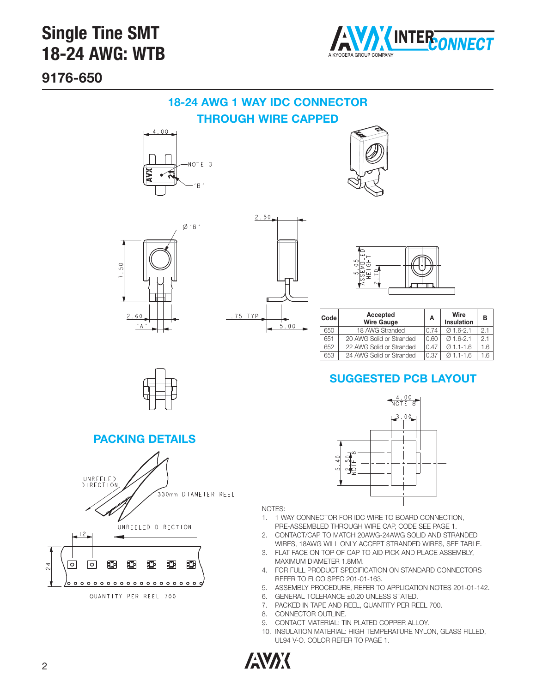

**9176-650**

### **18-24 AWG 1 WAY IDC CONNECTOR THROUGH WIRE CAPPED**









| Code | Accepted<br><b>Wire Gauge</b> | Α    | Wire<br><b>Insulation</b> | в   |
|------|-------------------------------|------|---------------------------|-----|
| 650  | 18 AWG Stranded               | 0.74 | $0.16 - 2.1$              | 2.1 |
| 651  | 20 AWG Solid or Stranded      | 0.60 | $Q$ 1.6-2.1               | 2.1 |
| 652  | 22 AWG Solid or Stranded      | 0.47 | $0.11 - 1.6$              | .6  |
| 653  | 24 AWG Solid or Stranded      | 0.37 | $0.11 - 1.6$              | .6  |

### **SUGGESTED PCB LAYOUT**



#### NOTES:

- 1. 1 WAY CONNECTOR FOR IDC WIRE TO BOARD CONNECTION, PRE-ASSEMBLED THROUGH WIRE CAP, CODE SEE PAGE 1.
- 2. CONTACT/CAP TO MATCH 20AWG-24AWG SOLID AND STRANDED WIRES, 18AWG WILL ONLY ACCEPT STRANDED WIRES, SEE TABLE.
- 3. FLAT FACE ON TOP OF CAP TO AID PICK AND PLACE ASSEMBLY, MAXIMUM DIAMETER 1.8MM.
- 4. FOR FULL PRODUCT SPECIFICATION ON STANDARD CONNECTORS REFER TO ELCO SPEC 201-01-163.
- 5. ASSEMBLY PROCEDURE, REFER TO APPLICATION NOTES 201-01-142.
- 6. GENERAL TOLERANCE ±0.20 UNLESS STATED.
- 7. PACKED IN TAPE AND REEL, QUANTITY PER REEL 700.
- 8. CONNECTOR OUTLINE.
- 9. CONTACT MATERIAL: TIN PLATED COPPER ALLOY.
	- 10. INSULATION MATERIAL: HIGH TEMPERATURE NYLON, GLASS FILLED, UL94 V-O. COLOR REFER TO PAGE 1.





#### **PACKING DETAILS**



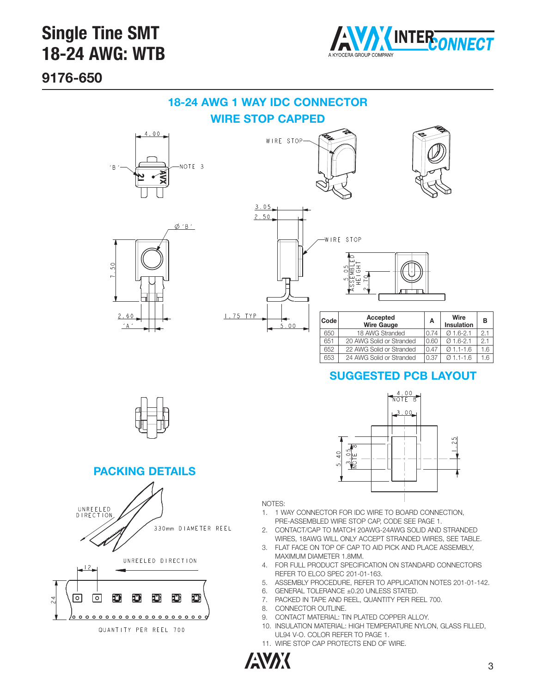

**9176-650**

### **18-24 AWG 1 WAY IDC CONNECTOR**

**WIRE STOP CAPPED**











| Code | Accepted<br><b>Wire Gauge</b> | А    | Wire<br><b>Insulation</b> | в   |
|------|-------------------------------|------|---------------------------|-----|
| 650  | 18 AWG Stranded               | 0.74 | $Q$ 1.6-2.1               | 2.1 |
| 651  | 20 AWG Solid or Stranded      | 0.60 | $Q$ 1.6-2.1               | 21  |
| 652  | 22 AWG Solid or Stranded      | 0.47 | $Q$ 1.1-1.6               | 1.6 |
| 653  | 24 AWG Solid or Stranded      | 0.37 | $Q$ 1.1-1.6               | 1.6 |

### **SUGGESTED PCB LAYOUT**

 $\frac{4.00}{NOTE}$  $.00$ 



**PACKING DETAILS**



NOTES:

- 1. 1 WAY CONNECTOR FOR IDC WIRE TO BOARD CONNECTION, PRE-ASSEMBLED WIRE STOP CAP, CODE SEE PAGE 1.
- 2. CONTACT/CAP TO MATCH 20AWG-24AWG SOLID AND STRANDED WIRES, 18AWG WILL ONLY ACCEPT STRANDED WIRES, SEE TABLE.
- 3. FLAT FACE ON TOP OF CAP TO AID PICK AND PLACE ASSEMBLY, MAXIMUM DIAMETER 1.8MM.
- 4. FOR FULL PRODUCT SPECIFICATION ON STANDARD CONNECTORS REFER TO ELCO SPEC 201-01-163.
- 5. ASSEMBLY PROCEDURE, REFER TO APPLICATION NOTES 201-01-142.
- 6. GENERAL TOLERANCE ±0.20 UNLESS STATED.

 $\overline{40}$ 

- 7. PACKED IN TAPE AND REEL, QUANTITY PER REEL 700.
- 8. CONNECTOR OUTLINE.
- 9. CONTACT MATERIAL: TIN PLATED COPPER ALLOY.
- 10. INSULATION MATERIAL: HIGH TEMPERATURE NYLON, GLASS FILLED, UL94 V-O. COLOR REFER TO PAGE 1.
- 11. WIRE STOP CAP PROTECTS END OF WIRE.